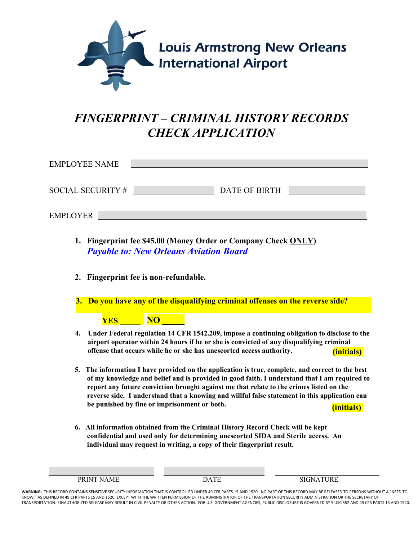

## *FINGERPRINT – CRIMINAL HISTORY RECORDS CHECK APPLICATION*

| <b>EMPLOYEE NAME</b> |               |  |
|----------------------|---------------|--|
| SOCIAL SECURITY #    | DATE OF BIRTH |  |
| <b>EMPLOYER</b>      |               |  |

- **1. Fingerprint fee \$45.00 (Money Order or Company Check ONLY)**  *Payable to: New Orleans Aviation Board*
- **2. Fingerprint fee is non-refundable.**

**3. Do you have any of the disqualifying criminal offenses on the reverse side?** 

## **YES \_\_\_\_\_ NO \_\_\_\_\_**

- **4. Under Federal regulation 14 CFR 1542.209, impose a continuing obligation to disclose to the airport operator within 24 hours if he or she is convicted of any disqualifying criminal offense that occurs while he or she has unescorted access authority. (initials)**
- **5. The information I have provided on the application is true, complete, and correct to the best of my knowledge and belief and is provided in good faith. I understand that I am required to report any future conviction brought against me that relate to the crimes listed on the reverse side. I understand that a knowing and willful false statement in this application can be punished by fine or imprisonment or both.** (initials)
- **6. All information obtained from the Criminal History Record Check will be kept confidential and used only for determining unescorted SIDA and Sterile access. An individual may request in writing, a copy of their fingerprint result.**

| $-$ | $\overline{\phantom{a}}$<br>the contract of the contract of the<br>___ |
|-----|------------------------------------------------------------------------|
|     |                                                                        |

**WARNING**: THIS RECORD CONTAINS SENSITIVE SECURITY INFORMATION THAT IS CONTROLLED UNDER 49 CFR PARTS 15 AND 1520. NO PART OF THIS RECORD MAY BE RELEASED TO PERSONS WITHOUT A "NEED TO KNOW," AS DEFINED IN 49 CFR PARTS 15 AND 1520, EXCEPT WITH THE WRITTEN PERMISSION OF THE ADMINISTRATOR OF THE TRANSPORTATION SECURITY ADMINISTRATION OR THE SECRETARY OF TRANSPORTATION. UNAUTHORIZED RELEASE MAY RESULT IN CIVIL PENALTY OR OTHER ACTION. FOR U.S. GOVERNMENT AGENCIES, PUBLIC DISCLOSURE IS GOVERNED BY 5 USC 552 AND 49 CFR PARTS 15 AND 1520.